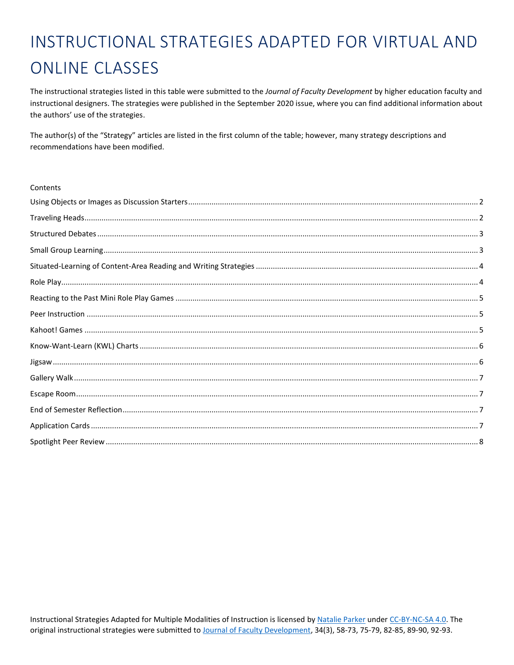## INSTRUCTIONAL STRATEGIES ADAPTED FOR VIRTUAL AND **ONLINE CLASSES**

The instructional strategies listed in this table were submitted to the Journal of Faculty Development by higher education faculty and instructional designers. The strategies were published in the September 2020 issue, where you can find additional information about the authors' use of the strategies.

The author(s) of the "Strategy" articles are listed in the first column of the table; however, many strategy descriptions and recommendations have been modified.

## Contents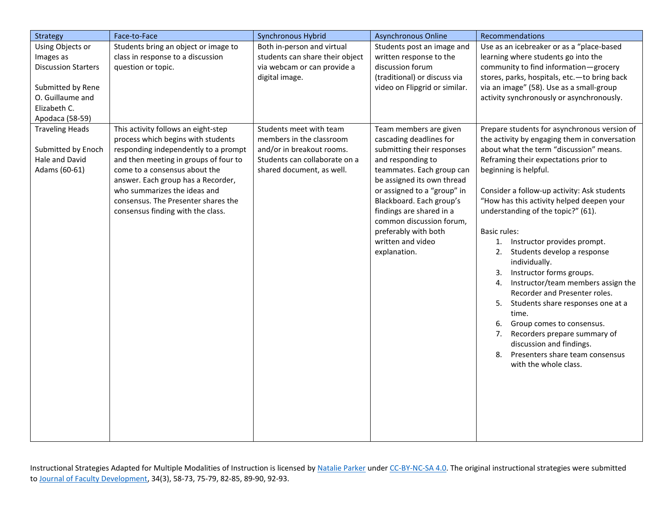<span id="page-1-1"></span><span id="page-1-0"></span>

| Strategy                                                                                                                                | Face-to-Face                                                                                                                                                                                                                                                                                                                                  | Synchronous Hybrid                                                                                                                             | <b>Asynchronous Online</b>                                                                                                                                                                                                                                                                                                                      | Recommendations                                                                                                                                                                                                                                                                                                                                                                                                                                                                                                                                                                                                                                                                                                                                                                                          |
|-----------------------------------------------------------------------------------------------------------------------------------------|-----------------------------------------------------------------------------------------------------------------------------------------------------------------------------------------------------------------------------------------------------------------------------------------------------------------------------------------------|------------------------------------------------------------------------------------------------------------------------------------------------|-------------------------------------------------------------------------------------------------------------------------------------------------------------------------------------------------------------------------------------------------------------------------------------------------------------------------------------------------|----------------------------------------------------------------------------------------------------------------------------------------------------------------------------------------------------------------------------------------------------------------------------------------------------------------------------------------------------------------------------------------------------------------------------------------------------------------------------------------------------------------------------------------------------------------------------------------------------------------------------------------------------------------------------------------------------------------------------------------------------------------------------------------------------------|
| Using Objects or<br>Images as<br><b>Discussion Starters</b><br>Submitted by Rene<br>O. Guillaume and<br>Elizabeth C.<br>Apodaca (58-59) | Students bring an object or image to<br>class in response to a discussion<br>question or topic.                                                                                                                                                                                                                                               | Both in-person and virtual<br>students can share their object<br>via webcam or can provide a<br>digital image.                                 | Students post an image and<br>written response to the<br>discussion forum<br>(traditional) or discuss via<br>video on Flipgrid or similar.                                                                                                                                                                                                      | Use as an icebreaker or as a "place-based<br>learning where students go into the<br>community to find information-grocery<br>stores, parks, hospitals, etc.- to bring back<br>via an image" (58). Use as a small-group<br>activity synchronously or asynchronously.                                                                                                                                                                                                                                                                                                                                                                                                                                                                                                                                      |
| <b>Traveling Heads</b><br>Submitted by Enoch<br>Hale and David<br>Adams (60-61)                                                         | This activity follows an eight-step<br>process which begins with students<br>responding independently to a prompt<br>and then meeting in groups of four to<br>come to a consensus about the<br>answer. Each group has a Recorder,<br>who summarizes the ideas and<br>consensus. The Presenter shares the<br>consensus finding with the class. | Students meet with team<br>members in the classroom<br>and/or in breakout rooms.<br>Students can collaborate on a<br>shared document, as well. | Team members are given<br>cascading deadlines for<br>submitting their responses<br>and responding to<br>teammates. Each group can<br>be assigned its own thread<br>or assigned to a "group" in<br>Blackboard. Each group's<br>findings are shared in a<br>common discussion forum,<br>preferably with both<br>written and video<br>explanation. | Prepare students for asynchronous version of<br>the activity by engaging them in conversation<br>about what the term "discussion" means.<br>Reframing their expectations prior to<br>beginning is helpful.<br>Consider a follow-up activity: Ask students<br>"How has this activity helped deepen your<br>understanding of the topic?" (61).<br><b>Basic rules:</b><br>Instructor provides prompt.<br>1.<br>Students develop a response<br>2.<br>individually.<br>Instructor forms groups.<br>3.<br>Instructor/team members assign the<br>4.<br>Recorder and Presenter roles.<br>5.<br>Students share responses one at a<br>time.<br>Group comes to consensus.<br>6.<br>Recorders prepare summary of<br>7.<br>discussion and findings.<br>8.<br>Presenters share team consensus<br>with the whole class. |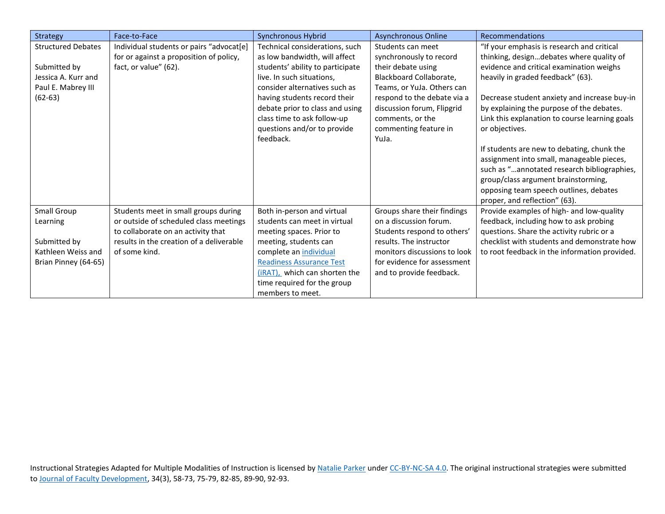<span id="page-2-1"></span><span id="page-2-0"></span>

| Strategy                                                                                            | Face-to-Face                                                                                                                                                                      | Synchronous Hybrid                                                                                                                                                                                                                                                                                              | <b>Asynchronous Online</b>                                                                                                                                                                                                                     | Recommendations                                                                                                                                                                                                                                                                                                                                                                                                                                                                                                                                                                                      |
|-----------------------------------------------------------------------------------------------------|-----------------------------------------------------------------------------------------------------------------------------------------------------------------------------------|-----------------------------------------------------------------------------------------------------------------------------------------------------------------------------------------------------------------------------------------------------------------------------------------------------------------|------------------------------------------------------------------------------------------------------------------------------------------------------------------------------------------------------------------------------------------------|------------------------------------------------------------------------------------------------------------------------------------------------------------------------------------------------------------------------------------------------------------------------------------------------------------------------------------------------------------------------------------------------------------------------------------------------------------------------------------------------------------------------------------------------------------------------------------------------------|
| <b>Structured Debates</b><br>Submitted by<br>Jessica A. Kurr and<br>Paul E. Mabrey III<br>$(62-63)$ | Individual students or pairs "advocat[e]<br>for or against a proposition of policy,<br>fact, or value" (62).                                                                      | Technical considerations, such<br>as low bandwidth, will affect<br>students' ability to participate<br>live. In such situations,<br>consider alternatives such as<br>having students record their<br>debate prior to class and using<br>class time to ask follow-up<br>questions and/or to provide<br>feedback. | Students can meet<br>synchronously to record<br>their debate using<br>Blackboard Collaborate,<br>Teams, or YuJa. Others can<br>respond to the debate via a<br>discussion forum, Flipgrid<br>comments, or the<br>commenting feature in<br>YuJa. | "If your emphasis is research and critical<br>thinking, designdebates where quality of<br>evidence and critical examination weighs<br>heavily in graded feedback" (63).<br>Decrease student anxiety and increase buy-in<br>by explaining the purpose of the debates.<br>Link this explanation to course learning goals<br>or objectives.<br>If students are new to debating, chunk the<br>assignment into small, manageable pieces,<br>such as "annotated research bibliographies,<br>group/class argument brainstorming,<br>opposing team speech outlines, debates<br>proper, and reflection" (63). |
| Small Group<br>Learning<br>Submitted by<br>Kathleen Weiss and<br>Brian Pinney (64-65)               | Students meet in small groups during<br>or outside of scheduled class meetings<br>to collaborate on an activity that<br>results in the creation of a deliverable<br>of some kind. | Both in-person and virtual<br>students can meet in virtual<br>meeting spaces. Prior to<br>meeting, students can<br>complete an individual<br><b>Readiness Assurance Test</b><br>(iRAT), which can shorten the<br>time required for the group<br>members to meet.                                                | Groups share their findings<br>on a discussion forum.<br>Students respond to others'<br>results. The instructor<br>monitors discussions to look<br>for evidence for assessment<br>and to provide feedback.                                     | Provide examples of high- and low-quality<br>feedback, including how to ask probing<br>questions. Share the activity rubric or a<br>checklist with students and demonstrate how<br>to root feedback in the information provided.                                                                                                                                                                                                                                                                                                                                                                     |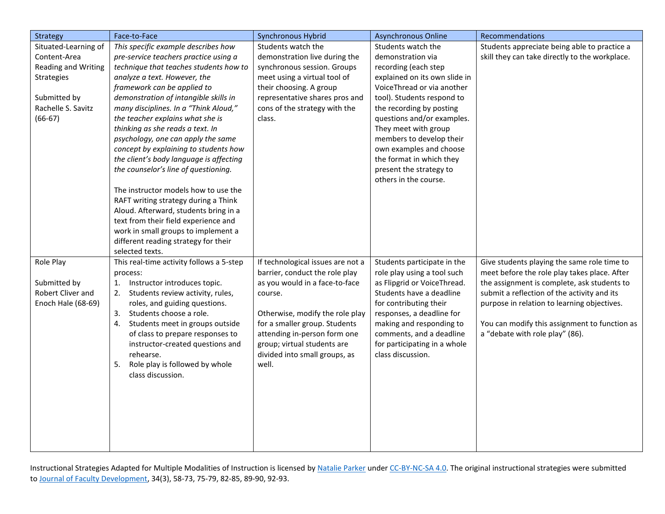<span id="page-3-1"></span><span id="page-3-0"></span>

| <b>Strategy</b>      | Face-to-Face                             | <b>Synchronous Hybrid</b>         | <b>Asynchronous Online</b>    | Recommendations                                |
|----------------------|------------------------------------------|-----------------------------------|-------------------------------|------------------------------------------------|
| Situated-Learning of | This specific example describes how      | Students watch the                | Students watch the            | Students appreciate being able to practice a   |
| Content-Area         | pre-service teachers practice using a    | demonstration live during the     | demonstration via             | skill they can take directly to the workplace. |
| Reading and Writing  | technique that teaches students how to   | synchronous session. Groups       | recording (each step          |                                                |
| <b>Strategies</b>    | analyze a text. However, the             | meet using a virtual tool of      | explained on its own slide in |                                                |
|                      | framework can be applied to              | their choosing. A group           | VoiceThread or via another    |                                                |
| Submitted by         | demonstration of intangible skills in    | representative shares pros and    | tool). Students respond to    |                                                |
| Rachelle S. Savitz   | many disciplines. In a "Think Aloud,"    | cons of the strategy with the     | the recording by posting      |                                                |
| $(66-67)$            | the teacher explains what she is         | class.                            | questions and/or examples.    |                                                |
|                      | thinking as she reads a text. In         |                                   | They meet with group          |                                                |
|                      | psychology, one can apply the same       |                                   | members to develop their      |                                                |
|                      | concept by explaining to students how    |                                   | own examples and choose       |                                                |
|                      | the client's body language is affecting  |                                   | the format in which they      |                                                |
|                      | the counselor's line of questioning.     |                                   | present the strategy to       |                                                |
|                      |                                          |                                   | others in the course.         |                                                |
|                      | The instructor models how to use the     |                                   |                               |                                                |
|                      | RAFT writing strategy during a Think     |                                   |                               |                                                |
|                      | Aloud. Afterward, students bring in a    |                                   |                               |                                                |
|                      | text from their field experience and     |                                   |                               |                                                |
|                      | work in small groups to implement a      |                                   |                               |                                                |
|                      | different reading strategy for their     |                                   |                               |                                                |
|                      | selected texts.                          |                                   |                               |                                                |
| Role Play            | This real-time activity follows a 5-step | If technological issues are not a | Students participate in the   | Give students playing the same role time to    |
|                      | process:                                 | barrier, conduct the role play    | role play using a tool such   | meet before the role play takes place. After   |
| Submitted by         | 1.<br>Instructor introduces topic.       | as you would in a face-to-face    | as Flipgrid or VoiceThread.   | the assignment is complete, ask students to    |
| Robert Cliver and    | Students review activity, rules,<br>2.   | course.                           | Students have a deadline      | submit a reflection of the activity and its    |
| Enoch Hale (68-69)   | roles, and guiding questions.            |                                   | for contributing their        | purpose in relation to learning objectives.    |
|                      | 3. Students choose a role.               | Otherwise, modify the role play   | responses, a deadline for     |                                                |
|                      | Students meet in groups outside<br>4.    | for a smaller group. Students     | making and responding to      | You can modify this assignment to function as  |
|                      | of class to prepare responses to         | attending in-person form one      | comments, and a deadline      | a "debate with role play" (86).                |
|                      | instructor-created questions and         | group; virtual students are       | for participating in a whole  |                                                |
|                      | rehearse.                                | divided into small groups, as     | class discussion.             |                                                |
|                      | Role play is followed by whole<br>5.     | well.                             |                               |                                                |
|                      | class discussion.                        |                                   |                               |                                                |
|                      |                                          |                                   |                               |                                                |
|                      |                                          |                                   |                               |                                                |
|                      |                                          |                                   |                               |                                                |
|                      |                                          |                                   |                               |                                                |
|                      |                                          |                                   |                               |                                                |
|                      |                                          |                                   |                               |                                                |
|                      |                                          |                                   |                               |                                                |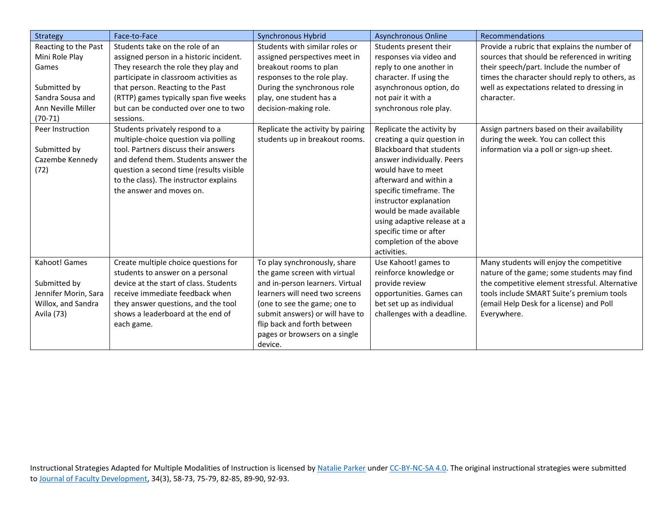<span id="page-4-2"></span><span id="page-4-1"></span><span id="page-4-0"></span>

| <b>Strategy</b>      | Face-to-Face                            | Synchronous Hybrid                | <b>Asynchronous Online</b>  | Recommendations                                |
|----------------------|-----------------------------------------|-----------------------------------|-----------------------------|------------------------------------------------|
| Reacting to the Past | Students take on the role of an         | Students with similar roles or    | Students present their      | Provide a rubric that explains the number of   |
| Mini Role Play       | assigned person in a historic incident. | assigned perspectives meet in     | responses via video and     | sources that should be referenced in writing   |
| Games                | They research the role they play and    | breakout rooms to plan            | reply to one another in     | their speech/part. Include the number of       |
|                      | participate in classroom activities as  | responses to the role play.       | character. If using the     | times the character should reply to others, as |
| Submitted by         | that person. Reacting to the Past       | During the synchronous role       | asynchronous option, do     | well as expectations related to dressing in    |
| Sandra Sousa and     | (RTTP) games typically span five weeks  | play, one student has a           | not pair it with a          | character.                                     |
| Ann Neville Miller   | but can be conducted over one to two    | decision-making role.             | synchronous role play.      |                                                |
| $(70-71)$            | sessions.                               |                                   |                             |                                                |
| Peer Instruction     | Students privately respond to a         | Replicate the activity by pairing | Replicate the activity by   | Assign partners based on their availability    |
|                      | multiple-choice question via polling    | students up in breakout rooms.    | creating a quiz question in | during the week. You can collect this          |
| Submitted by         | tool. Partners discuss their answers    |                                   | Blackboard that students    | information via a poll or sign-up sheet.       |
| Cazembe Kennedy      | and defend them. Students answer the    |                                   | answer individually. Peers  |                                                |
| (72)                 | question a second time (results visible |                                   | would have to meet          |                                                |
|                      | to the class). The instructor explains  |                                   | afterward and within a      |                                                |
|                      | the answer and moves on.                |                                   | specific timeframe. The     |                                                |
|                      |                                         |                                   | instructor explanation      |                                                |
|                      |                                         |                                   | would be made available     |                                                |
|                      |                                         |                                   | using adaptive release at a |                                                |
|                      |                                         |                                   | specific time or after      |                                                |
|                      |                                         |                                   | completion of the above     |                                                |
|                      |                                         |                                   | activities.                 |                                                |
| Kahoot! Games        | Create multiple choice questions for    | To play synchronously, share      | Use Kahoot! games to        | Many students will enjoy the competitive       |
|                      | students to answer on a personal        | the game screen with virtual      | reinforce knowledge or      | nature of the game; some students may find     |
| Submitted by         | device at the start of class. Students  | and in-person learners. Virtual   | provide review              | the competitive element stressful. Alternative |
| Jennifer Morin, Sara | receive immediate feedback when         | learners will need two screens    | opportunities. Games can    | tools include SMART Suite's premium tools      |
| Willox, and Sandra   | they answer questions, and the tool     | (one to see the game; one to      | bet set up as individual    | (email Help Desk for a license) and Poll       |
| Avila (73)           | shows a leaderboard at the end of       | submit answers) or will have to   | challenges with a deadline. | Everywhere.                                    |
|                      | each game.                              | flip back and forth between       |                             |                                                |
|                      |                                         | pages or browsers on a single     |                             |                                                |
|                      |                                         | device.                           |                             |                                                |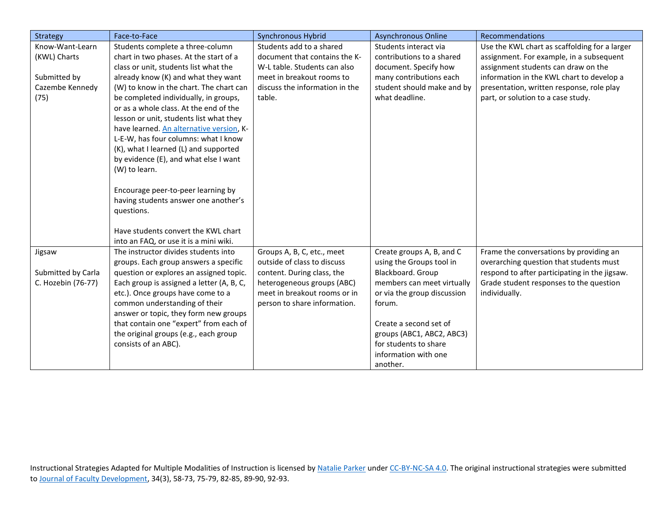<span id="page-5-1"></span><span id="page-5-0"></span>

| Strategy           | Face-to-Face                              | Synchronous Hybrid             | <b>Asynchronous Online</b>  | Recommendations                               |
|--------------------|-------------------------------------------|--------------------------------|-----------------------------|-----------------------------------------------|
| Know-Want-Learn    | Students complete a three-column          | Students add to a shared       | Students interact via       | Use the KWL chart as scaffolding for a larger |
| (KWL) Charts       | chart in two phases. At the start of a    | document that contains the K-  | contributions to a shared   | assignment. For example, in a subsequent      |
|                    | class or unit, students list what the     | W-L table. Students can also   | document. Specify how       | assignment students can draw on the           |
| Submitted by       | already know (K) and what they want       | meet in breakout rooms to      | many contributions each     | information in the KWL chart to develop a     |
| Cazembe Kennedy    | (W) to know in the chart. The chart can   | discuss the information in the | student should make and by  | presentation, written response, role play     |
| (75)               | be completed individually, in groups,     | table.                         | what deadline.              | part, or solution to a case study.            |
|                    | or as a whole class. At the end of the    |                                |                             |                                               |
|                    | lesson or unit, students list what they   |                                |                             |                                               |
|                    | have learned. An alternative version, K-  |                                |                             |                                               |
|                    | L-E-W, has four columns: what I know      |                                |                             |                                               |
|                    | (K), what I learned (L) and supported     |                                |                             |                                               |
|                    | by evidence (E), and what else I want     |                                |                             |                                               |
|                    | (W) to learn.                             |                                |                             |                                               |
|                    |                                           |                                |                             |                                               |
|                    | Encourage peer-to-peer learning by        |                                |                             |                                               |
|                    | having students answer one another's      |                                |                             |                                               |
|                    | questions.                                |                                |                             |                                               |
|                    |                                           |                                |                             |                                               |
|                    | Have students convert the KWL chart       |                                |                             |                                               |
|                    | into an FAQ, or use it is a mini wiki.    |                                |                             |                                               |
| Jigsaw             | The instructor divides students into      | Groups A, B, C, etc., meet     | Create groups A, B, and C   | Frame the conversations by providing an       |
|                    | groups. Each group answers a specific     | outside of class to discuss    | using the Groups tool in    | overarching question that students must       |
| Submitted by Carla | question or explores an assigned topic.   | content. During class, the     | Blackboard. Group           | respond to after participating in the jigsaw. |
| C. Hozebin (76-77) | Each group is assigned a letter (A, B, C, | heterogeneous groups (ABC)     | members can meet virtually  | Grade student responses to the question       |
|                    | etc.). Once groups have come to a         | meet in breakout rooms or in   | or via the group discussion | individually.                                 |
|                    | common understanding of their             | person to share information.   | forum.                      |                                               |
|                    | answer or topic, they form new groups     |                                |                             |                                               |
|                    | that contain one "expert" from each of    |                                | Create a second set of      |                                               |
|                    | the original groups (e.g., each group     |                                | groups (ABC1, ABC2, ABC3)   |                                               |
|                    | consists of an ABC).                      |                                | for students to share       |                                               |
|                    |                                           |                                | information with one        |                                               |
|                    |                                           |                                | another.                    |                                               |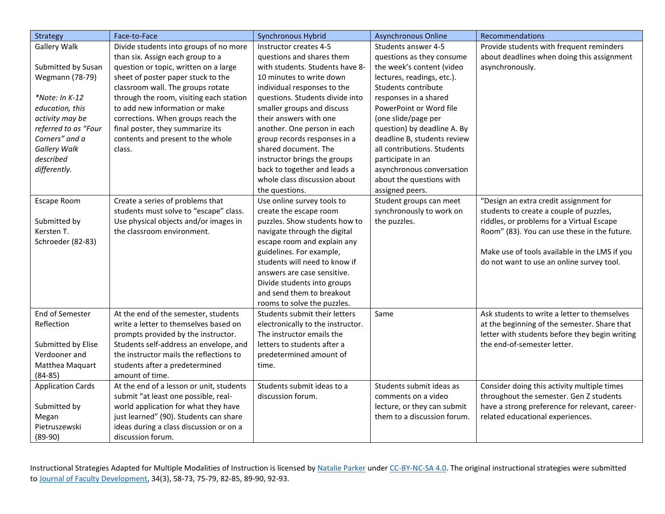<span id="page-6-3"></span><span id="page-6-2"></span><span id="page-6-1"></span><span id="page-6-0"></span>

| Strategy                 | Face-to-Face                             | <b>Synchronous Hybrid</b>         | <b>Asynchronous Online</b>  | Recommendations                                |
|--------------------------|------------------------------------------|-----------------------------------|-----------------------------|------------------------------------------------|
| Gallery Walk             | Divide students into groups of no more   | Instructor creates 4-5            | Students answer 4-5         | Provide students with frequent reminders       |
|                          | than six. Assign each group to a         | questions and shares them         | questions as they consume   | about deadlines when doing this assignment     |
| Submitted by Susan       | question or topic, written on a large    | with students. Students have 8-   | the week's content (video   | asynchronously.                                |
| Wegmann (78-79)          | sheet of poster paper stuck to the       | 10 minutes to write down          | lectures, readings, etc.).  |                                                |
|                          | classroom wall. The groups rotate        | individual responses to the       | Students contribute         |                                                |
| *Note: In K-12           | through the room, visiting each station  | questions. Students divide into   | responses in a shared       |                                                |
| education, this          | to add new information or make           | smaller groups and discuss        | PowerPoint or Word file     |                                                |
| activity may be          | corrections. When groups reach the       | their answers with one            | (one slide/page per         |                                                |
| referred to as "Four     | final poster, they summarize its         | another. One person in each       | question) by deadline A. By |                                                |
| Corners" and a           | contents and present to the whole        | group records responses in a      | deadline B, students review |                                                |
| <b>Gallery Walk</b>      | class.                                   | shared document. The              | all contributions. Students |                                                |
| described                |                                          | instructor brings the groups      | participate in an           |                                                |
| differently.             |                                          | back to together and leads a      | asynchronous conversation   |                                                |
|                          |                                          | whole class discussion about      | about the questions with    |                                                |
|                          |                                          | the questions.                    | assigned peers.             |                                                |
| Escape Room              | Create a series of problems that         | Use online survey tools to        | Student groups can meet     | "Design an extra credit assignment for         |
|                          | students must solve to "escape" class.   | create the escape room            | synchronously to work on    | students to create a couple of puzzles,        |
| Submitted by             | Use physical objects and/or images in    | puzzles. Show students how to     | the puzzles.                | riddles, or problems for a Virtual Escape      |
| Kersten T.               | the classroom environment.               | navigate through the digital      |                             | Room" (83). You can use these in the future.   |
| Schroeder (82-83)        |                                          | escape room and explain any       |                             |                                                |
|                          |                                          | guidelines. For example,          |                             | Make use of tools available in the LMS if you  |
|                          |                                          | students will need to know if     |                             | do not want to use an online survey tool.      |
|                          |                                          | answers are case sensitive.       |                             |                                                |
|                          |                                          | Divide students into groups       |                             |                                                |
|                          |                                          | and send them to breakout         |                             |                                                |
|                          |                                          | rooms to solve the puzzles.       |                             |                                                |
| End of Semester          | At the end of the semester, students     | Students submit their letters     | Same                        | Ask students to write a letter to themselves   |
| Reflection               | write a letter to themselves based on    | electronically to the instructor. |                             | at the beginning of the semester. Share that   |
|                          | prompts provided by the instructor.      | The instructor emails the         |                             | letter with students before they begin writing |
| Submitted by Elise       | Students self-address an envelope, and   | letters to students after a       |                             | the end-of-semester letter.                    |
| Verdooner and            | the instructor mails the reflections to  | predetermined amount of           |                             |                                                |
| Matthea Maquart          | students after a predetermined           | time.                             |                             |                                                |
| $(84 - 85)$              | amount of time.                          |                                   |                             |                                                |
| <b>Application Cards</b> | At the end of a lesson or unit, students | Students submit ideas to a        | Students submit ideas as    | Consider doing this activity multiple times    |
|                          | submit "at least one possible, real-     | discussion forum.                 | comments on a video         | throughout the semester. Gen Z students        |
| Submitted by             | world application for what they have     |                                   | lecture, or they can submit | have a strong preference for relevant, career- |
| Megan                    | just learned" (90). Students can share   |                                   | them to a discussion forum. | related educational experiences.               |
| Pietruszewski            | ideas during a class discussion or on a  |                                   |                             |                                                |
| $(89-90)$                | discussion forum.                        |                                   |                             |                                                |